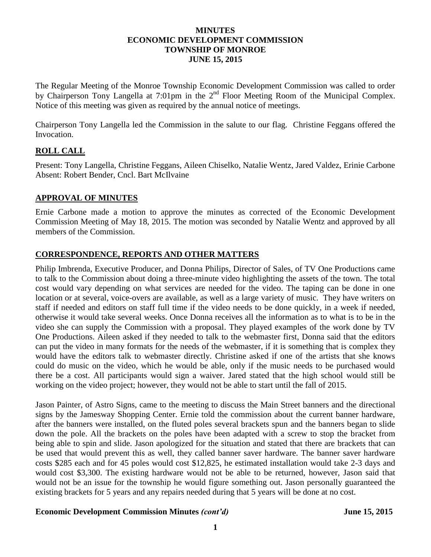#### **MINUTES ECONOMIC DEVELOPMENT COMMISSION TOWNSHIP OF MONROE JUNE 15, 2015**

The Regular Meeting of the Monroe Township Economic Development Commission was called to order by Chairperson Tony Langella at 7:01pm in the 2<sup>nd</sup> Floor Meeting Room of the Municipal Complex. Notice of this meeting was given as required by the annual notice of meetings.

Chairperson Tony Langella led the Commission in the salute to our flag. Christine Feggans offered the Invocation.

# **ROLL CALL**

Present: Tony Langella, Christine Feggans, Aileen Chiselko, Natalie Wentz, Jared Valdez, Erinie Carbone Absent: Robert Bender, Cncl. Bart McIlvaine

## **APPROVAL OF MINUTES**

Ernie Carbone made a motion to approve the minutes as corrected of the Economic Development Commission Meeting of May 18, 2015. The motion was seconded by Natalie Wentz and approved by all members of the Commission.

# **CORRESPONDENCE, REPORTS AND OTHER MATTERS**

Philip Imbrenda, Executive Producer, and Donna Philips, Director of Sales, of TV One Productions came to talk to the Commission about doing a three-minute video highlighting the assets of the town. The total cost would vary depending on what services are needed for the video. The taping can be done in one location or at several, voice-overs are available, as well as a large variety of music. They have writers on staff if needed and editors on staff full time if the video needs to be done quickly, in a week if needed, otherwise it would take several weeks. Once Donna receives all the information as to what is to be in the video she can supply the Commission with a proposal. They played examples of the work done by TV One Productions. Aileen asked if they needed to talk to the webmaster first, Donna said that the editors can put the video in many formats for the needs of the webmaster, if it is something that is complex they would have the editors talk to webmaster directly. Christine asked if one of the artists that she knows could do music on the video, which he would be able, only if the music needs to be purchased would there be a cost. All participants would sign a waiver. Jared stated that the high school would still be working on the video project; however, they would not be able to start until the fall of 2015.

Jason Painter, of Astro Signs, came to the meeting to discuss the Main Street banners and the directional signs by the Jamesway Shopping Center. Ernie told the commission about the current banner hardware, after the banners were installed, on the fluted poles several brackets spun and the banners began to slide down the pole. All the brackets on the poles have been adapted with a screw to stop the bracket from being able to spin and slide. Jason apologized for the situation and stated that there are brackets that can be used that would prevent this as well, they called banner saver hardware. The banner saver hardware costs \$285 each and for 45 poles would cost \$12,825, he estimated installation would take 2-3 days and would cost \$3,300. The existing hardware would not be able to be returned, however, Jason said that would not be an issue for the township he would figure something out. Jason personally guaranteed the existing brackets for 5 years and any repairs needed during that 5 years will be done at no cost.

#### **Economic Development Commission Minutes** *(cont'd)* **June 15, 2015**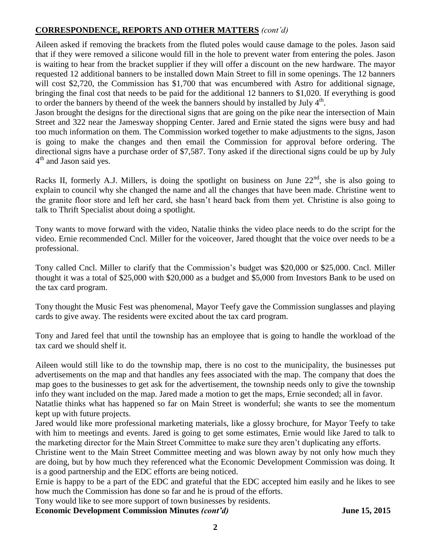# **CORRESPONDENCE, REPORTS AND OTHER MATTERS** *(cont'd)*

Aileen asked if removing the brackets from the fluted poles would cause damage to the poles. Jason said that if they were removed a silicone would fill in the hole to prevent water from entering the poles. Jason is waiting to hear from the bracket supplier if they will offer a discount on the new hardware. The mayor requested 12 additional banners to be installed down Main Street to fill in some openings. The 12 banners will cost \$2,720, the Commission has \$1,700 that was encumbered with Astro for additional signage, bringing the final cost that needs to be paid for the additional 12 banners to \$1,020. If everything is good to order the banners by the end of the week the banners should by installed by July  $4<sup>th</sup>$ .

Jason brought the designs for the directional signs that are going on the pike near the intersection of Main Street and 322 near the Jamesway shopping Center. Jared and Ernie stated the signs were busy and had too much information on them. The Commission worked together to make adjustments to the signs, Jason is going to make the changes and then email the Commission for approval before ordering. The directional signs have a purchase order of \$7,587. Tony asked if the directional signs could be up by July 4<sup>th</sup> and Jason said yes.

Racks II, formerly A.J. Millers, is doing the spotlight on business on June  $22<sup>nd</sup>$ , she is also going to explain to council why she changed the name and all the changes that have been made. Christine went to the granite floor store and left her card, she hasn't heard back from them yet. Christine is also going to talk to Thrift Specialist about doing a spotlight.

Tony wants to move forward with the video, Natalie thinks the video place needs to do the script for the video. Ernie recommended Cncl. Miller for the voiceover, Jared thought that the voice over needs to be a professional.

Tony called Cncl. Miller to clarify that the Commission's budget was \$20,000 or \$25,000. Cncl. Miller thought it was a total of \$25,000 with \$20,000 as a budget and \$5,000 from Investors Bank to be used on the tax card program.

Tony thought the Music Fest was phenomenal, Mayor Teefy gave the Commission sunglasses and playing cards to give away. The residents were excited about the tax card program.

Tony and Jared feel that until the township has an employee that is going to handle the workload of the tax card we should shelf it.

Aileen would still like to do the township map, there is no cost to the municipality, the businesses put advertisements on the map and that handles any fees associated with the map. The company that does the map goes to the businesses to get ask for the advertisement, the township needs only to give the township info they want included on the map. Jared made a motion to get the maps, Ernie seconded; all in favor.

Natatlie thinks what has happened so far on Main Street is wonderful; she wants to see the momentum kept up with future projects.

Jared would like more professional marketing materials, like a glossy brochure, for Mayor Teefy to take with him to meetings and events. Jared is going to get some estimates, Ernie would like Jared to talk to the marketing director for the Main Street Committee to make sure they aren't duplicating any efforts.

Christine went to the Main Street Committee meeting and was blown away by not only how much they are doing, but by how much they referenced what the Economic Development Commission was doing. It is a good partnership and the EDC efforts are being noticed.

Ernie is happy to be a part of the EDC and grateful that the EDC accepted him easily and he likes to see how much the Commission has done so far and he is proud of the efforts.

Tony would like to see more support of town businesses by residents.

**Economic Development Commission Minutes** *(cont'd)* **June 15, 2015**